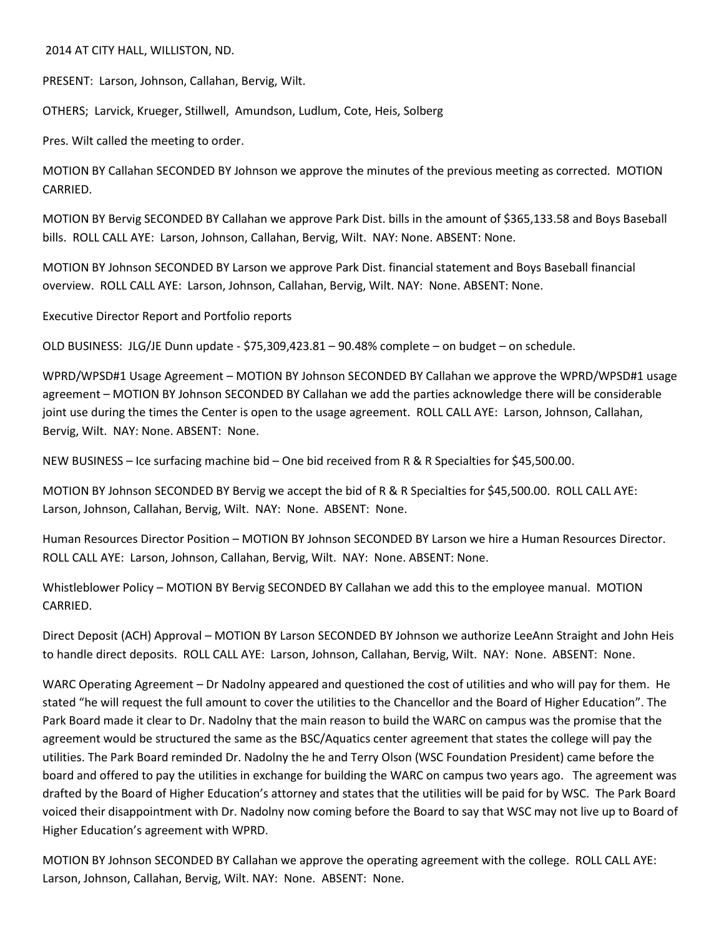2014 AT CITY HALL, WILLISTON, ND.

PRESENT: Larson, Johnson, Callahan, Bervig, Wilt.

OTHERS; Larvick, Krueger, Stillwell, Amundson, Ludlum, Cote, Heis, Solberg

Pres. Wilt called the meeting to order.

MOTION BY Callahan SECONDED BY Johnson we approve the minutes of the previous meeting as corrected. MOTION CARRIED.

MOTION BY Bervig SECONDED BY Callahan we approve Park Dist. bills in the amount of \$365,133.58 and Boys Baseball bills. ROLL CALL AYE: Larson, Johnson, Callahan, Bervig, Wilt. NAY: None. ABSENT: None.

MOTION BY Johnson SECONDED BY Larson we approve Park Dist. financial statement and Boys Baseball financial overview. ROLL CALL AYE: Larson, Johnson, Callahan, Bervig, Wilt. NAY: None. ABSENT: None.

Executive Director Report and Portfolio reports

OLD BUSINESS: JLG/JE Dunn update - \$75,309,423.81 – 90.48% complete – on budget – on schedule.

WPRD/WPSD#1 Usage Agreement – MOTION BY Johnson SECONDED BY Callahan we approve the WPRD/WPSD#1 usage agreement – MOTION BY Johnson SECONDED BY Callahan we add the parties acknowledge there will be considerable joint use during the times the Center is open to the usage agreement. ROLL CALL AYE: Larson, Johnson, Callahan, Bervig, Wilt. NAY: None. ABSENT: None.

NEW BUSINESS – Ice surfacing machine bid – One bid received from R & R Specialties for \$45,500.00.

MOTION BY Johnson SECONDED BY Bervig we accept the bid of R & R Specialties for \$45,500.00. ROLL CALL AYE: Larson, Johnson, Callahan, Bervig, Wilt. NAY: None. ABSENT: None.

Human Resources Director Position – MOTION BY Johnson SECONDED BY Larson we hire a Human Resources Director. ROLL CALL AYE: Larson, Johnson, Callahan, Bervig, Wilt. NAY: None. ABSENT: None.

Whistleblower Policy – MOTION BY Bervig SECONDED BY Callahan we add this to the employee manual. MOTION CARRIED.

Direct Deposit (ACH) Approval – MOTION BY Larson SECONDED BY Johnson we authorize LeeAnn Straight and John Heis to handle direct deposits. ROLL CALL AYE: Larson, Johnson, Callahan, Bervig, Wilt. NAY: None. ABSENT: None.

WARC Operating Agreement – Dr Nadolny appeared and questioned the cost of utilities and who will pay for them. He stated "he will request the full amount to cover the utilities to the Chancellor and the Board of Higher Education". The Park Board made it clear to Dr. Nadolny that the main reason to build the WARC on campus was the promise that the agreement would be structured the same as the BSC/Aquatics center agreement that states the college will pay the utilities. The Park Board reminded Dr. Nadolny the he and Terry Olson (WSC Foundation President) came before the board and offered to pay the utilities in exchange for building the WARC on campus two years ago. The agreement was drafted by the Board of Higher Education's attorney and states that the utilities will be paid for by WSC. The Park Board voiced their disappointment with Dr. Nadolny now coming before the Board to say that WSC may not live up to Board of Higher Education's agreement with WPRD.

MOTION BY Johnson SECONDED BY Callahan we approve the operating agreement with the college. ROLL CALL AYE: Larson, Johnson, Callahan, Bervig, Wilt. NAY: None. ABSENT: None.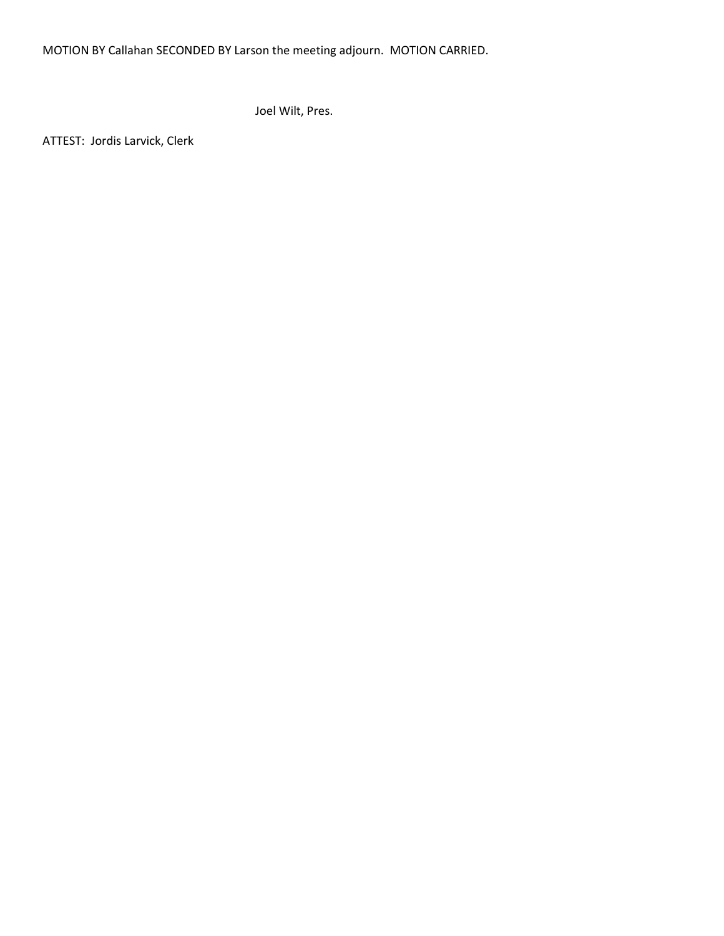MOTION BY Callahan SECONDED BY Larson the meeting adjourn. MOTION CARRIED.

Joel Wilt, Pres.

ATTEST: Jordis Larvick, Clerk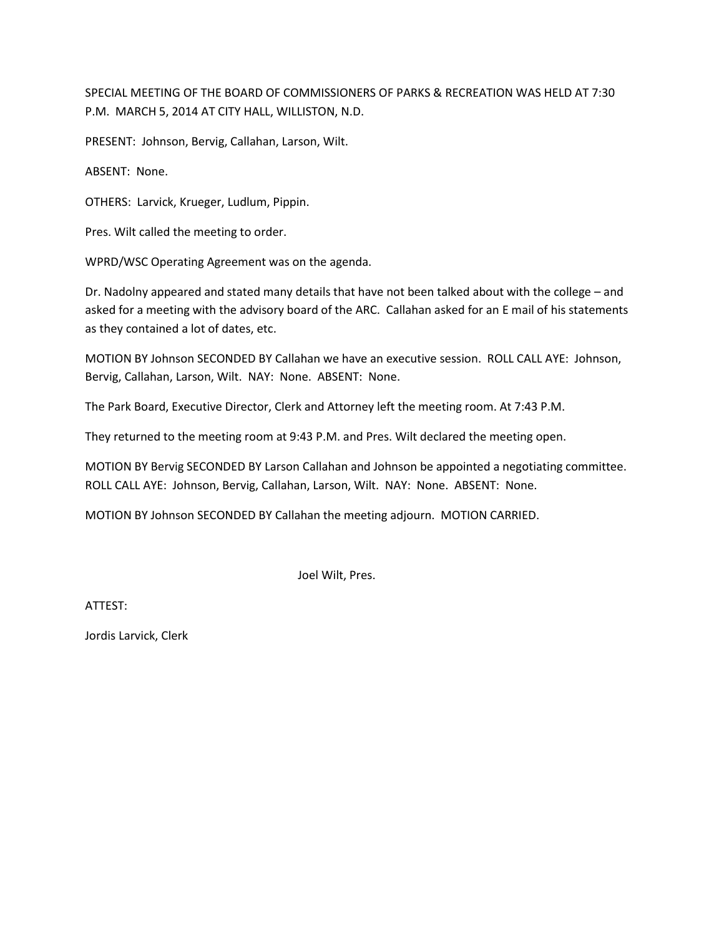SPECIAL MEETING OF THE BOARD OF COMMISSIONERS OF PARKS & RECREATION WAS HELD AT 7:30 P.M. MARCH 5, 2014 AT CITY HALL, WILLISTON, N.D.

PRESENT: Johnson, Bervig, Callahan, Larson, Wilt.

ABSENT: None.

OTHERS: Larvick, Krueger, Ludlum, Pippin.

Pres. Wilt called the meeting to order.

WPRD/WSC Operating Agreement was on the agenda.

Dr. Nadolny appeared and stated many details that have not been talked about with the college – and asked for a meeting with the advisory board of the ARC. Callahan asked for an E mail of his statements as they contained a lot of dates, etc.

MOTION BY Johnson SECONDED BY Callahan we have an executive session. ROLL CALL AYE: Johnson, Bervig, Callahan, Larson, Wilt. NAY: None. ABSENT: None.

The Park Board, Executive Director, Clerk and Attorney left the meeting room. At 7:43 P.M.

They returned to the meeting room at 9:43 P.M. and Pres. Wilt declared the meeting open.

MOTION BY Bervig SECONDED BY Larson Callahan and Johnson be appointed a negotiating committee. ROLL CALL AYE: Johnson, Bervig, Callahan, Larson, Wilt. NAY: None. ABSENT: None.

MOTION BY Johnson SECONDED BY Callahan the meeting adjourn. MOTION CARRIED.

Joel Wilt, Pres.

ATTEST: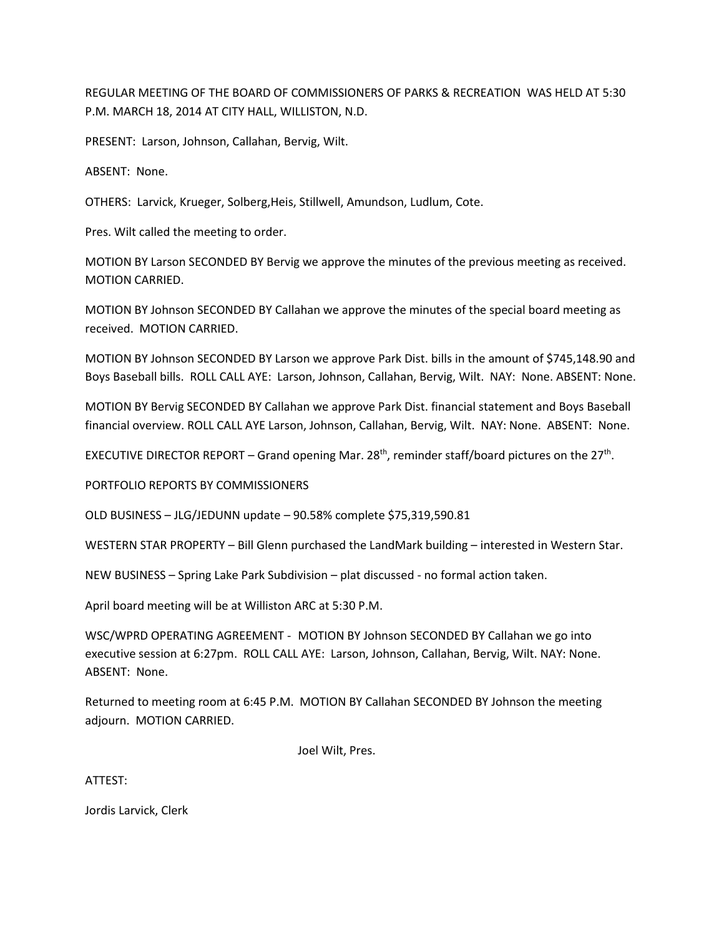REGULAR MEETING OF THE BOARD OF COMMISSIONERS OF PARKS & RECREATION WAS HELD AT 5:30 P.M. MARCH 18, 2014 AT CITY HALL, WILLISTON, N.D.

PRESENT: Larson, Johnson, Callahan, Bervig, Wilt.

ABSENT: None.

OTHERS: Larvick, Krueger, Solberg,Heis, Stillwell, Amundson, Ludlum, Cote.

Pres. Wilt called the meeting to order.

MOTION BY Larson SECONDED BY Bervig we approve the minutes of the previous meeting as received. MOTION CARRIED.

MOTION BY Johnson SECONDED BY Callahan we approve the minutes of the special board meeting as received. MOTION CARRIED.

MOTION BY Johnson SECONDED BY Larson we approve Park Dist. bills in the amount of \$745,148.90 and Boys Baseball bills. ROLL CALL AYE: Larson, Johnson, Callahan, Bervig, Wilt. NAY: None. ABSENT: None.

MOTION BY Bervig SECONDED BY Callahan we approve Park Dist. financial statement and Boys Baseball financial overview. ROLL CALL AYE Larson, Johnson, Callahan, Bervig, Wilt. NAY: None. ABSENT: None.

EXECUTIVE DIRECTOR REPORT – Grand opening Mar. 28<sup>th</sup>, reminder staff/board pictures on the 27<sup>th</sup>.

PORTFOLIO REPORTS BY COMMISSIONERS

OLD BUSINESS – JLG/JEDUNN update – 90.58% complete \$75,319,590.81

WESTERN STAR PROPERTY – Bill Glenn purchased the LandMark building – interested in Western Star.

NEW BUSINESS – Spring Lake Park Subdivision – plat discussed - no formal action taken.

April board meeting will be at Williston ARC at 5:30 P.M.

WSC/WPRD OPERATING AGREEMENT - MOTION BY Johnson SECONDED BY Callahan we go into executive session at 6:27pm. ROLL CALL AYE: Larson, Johnson, Callahan, Bervig, Wilt. NAY: None. ABSENT: None.

Returned to meeting room at 6:45 P.M. MOTION BY Callahan SECONDED BY Johnson the meeting adjourn. MOTION CARRIED.

Joel Wilt, Pres.

ATTEST: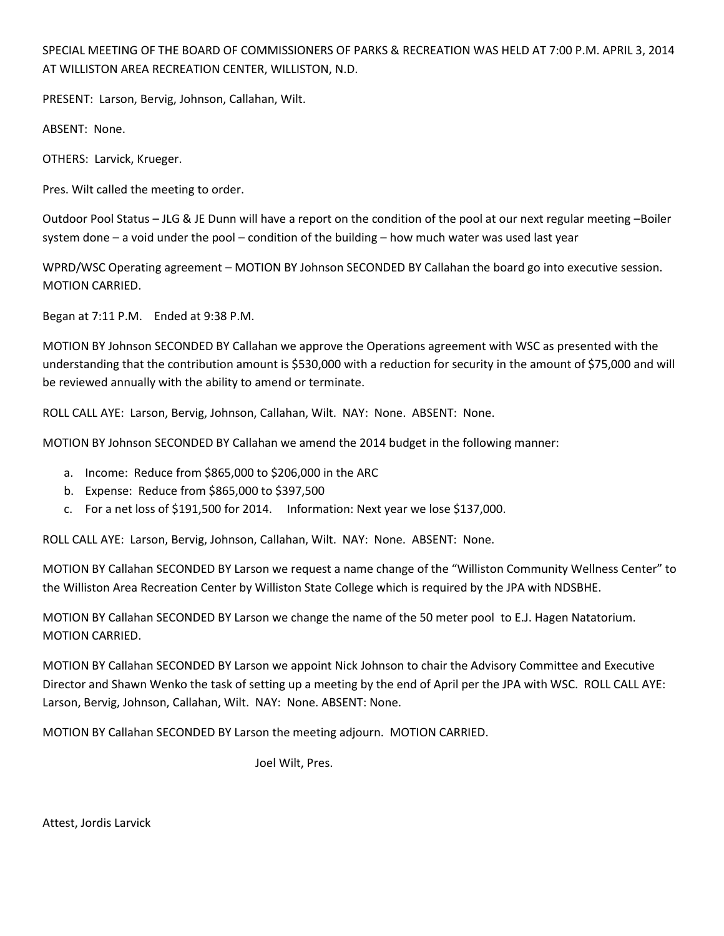SPECIAL MEETING OF THE BOARD OF COMMISSIONERS OF PARKS & RECREATION WAS HELD AT 7:00 P.M. APRIL 3, 2014 AT WILLISTON AREA RECREATION CENTER, WILLISTON, N.D.

PRESENT: Larson, Bervig, Johnson, Callahan, Wilt.

ABSENT: None.

OTHERS: Larvick, Krueger.

Pres. Wilt called the meeting to order.

Outdoor Pool Status – JLG & JE Dunn will have a report on the condition of the pool at our next regular meeting –Boiler system done – a void under the pool – condition of the building – how much water was used last year

WPRD/WSC Operating agreement – MOTION BY Johnson SECONDED BY Callahan the board go into executive session. MOTION CARRIED.

Began at 7:11 P.M. Ended at 9:38 P.M.

MOTION BY Johnson SECONDED BY Callahan we approve the Operations agreement with WSC as presented with the understanding that the contribution amount is \$530,000 with a reduction for security in the amount of \$75,000 and will be reviewed annually with the ability to amend or terminate.

ROLL CALL AYE: Larson, Bervig, Johnson, Callahan, Wilt. NAY: None. ABSENT: None.

MOTION BY Johnson SECONDED BY Callahan we amend the 2014 budget in the following manner:

- a. Income: Reduce from \$865,000 to \$206,000 in the ARC
- b. Expense: Reduce from \$865,000 to \$397,500
- c. For a net loss of \$191,500 for 2014. Information: Next year we lose \$137,000.

ROLL CALL AYE: Larson, Bervig, Johnson, Callahan, Wilt. NAY: None. ABSENT: None.

MOTION BY Callahan SECONDED BY Larson we request a name change of the "Williston Community Wellness Center" to the Williston Area Recreation Center by Williston State College which is required by the JPA with NDSBHE.

MOTION BY Callahan SECONDED BY Larson we change the name of the 50 meter pool to E.J. Hagen Natatorium. MOTION CARRIED.

MOTION BY Callahan SECONDED BY Larson we appoint Nick Johnson to chair the Advisory Committee and Executive Director and Shawn Wenko the task of setting up a meeting by the end of April per the JPA with WSC. ROLL CALL AYE: Larson, Bervig, Johnson, Callahan, Wilt. NAY: None. ABSENT: None.

MOTION BY Callahan SECONDED BY Larson the meeting adjourn. MOTION CARRIED.

Joel Wilt, Pres.

Attest, Jordis Larvick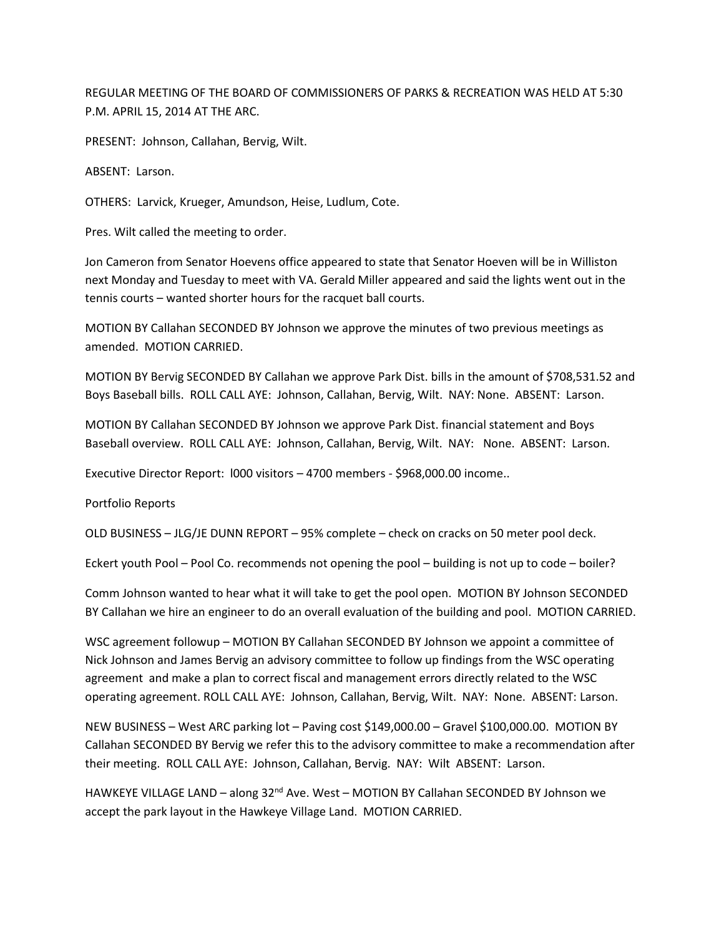REGULAR MEETING OF THE BOARD OF COMMISSIONERS OF PARKS & RECREATION WAS HELD AT 5:30 P.M. APRIL 15, 2014 AT THE ARC.

PRESENT: Johnson, Callahan, Bervig, Wilt.

ABSENT: Larson.

OTHERS: Larvick, Krueger, Amundson, Heise, Ludlum, Cote.

Pres. Wilt called the meeting to order.

Jon Cameron from Senator Hoevens office appeared to state that Senator Hoeven will be in Williston next Monday and Tuesday to meet with VA. Gerald Miller appeared and said the lights went out in the tennis courts – wanted shorter hours for the racquet ball courts.

MOTION BY Callahan SECONDED BY Johnson we approve the minutes of two previous meetings as amended. MOTION CARRIED.

MOTION BY Bervig SECONDED BY Callahan we approve Park Dist. bills in the amount of \$708,531.52 and Boys Baseball bills. ROLL CALL AYE: Johnson, Callahan, Bervig, Wilt. NAY: None. ABSENT: Larson.

MOTION BY Callahan SECONDED BY Johnson we approve Park Dist. financial statement and Boys Baseball overview. ROLL CALL AYE: Johnson, Callahan, Bervig, Wilt. NAY: None. ABSENT: Larson.

Executive Director Report: l000 visitors – 4700 members - \$968,000.00 income..

Portfolio Reports

OLD BUSINESS – JLG/JE DUNN REPORT – 95% complete – check on cracks on 50 meter pool deck.

Eckert youth Pool – Pool Co. recommends not opening the pool – building is not up to code – boiler?

Comm Johnson wanted to hear what it will take to get the pool open. MOTION BY Johnson SECONDED BY Callahan we hire an engineer to do an overall evaluation of the building and pool. MOTION CARRIED.

WSC agreement followup – MOTION BY Callahan SECONDED BY Johnson we appoint a committee of Nick Johnson and James Bervig an advisory committee to follow up findings from the WSC operating agreement and make a plan to correct fiscal and management errors directly related to the WSC operating agreement. ROLL CALL AYE: Johnson, Callahan, Bervig, Wilt. NAY: None. ABSENT: Larson.

NEW BUSINESS – West ARC parking lot – Paving cost \$149,000.00 – Gravel \$100,000.00. MOTION BY Callahan SECONDED BY Bervig we refer this to the advisory committee to make a recommendation after their meeting. ROLL CALL AYE: Johnson, Callahan, Bervig. NAY: Wilt ABSENT: Larson.

HAWKEYE VILLAGE LAND - along 32<sup>nd</sup> Ave. West - MOTION BY Callahan SECONDED BY Johnson we accept the park layout in the Hawkeye Village Land. MOTION CARRIED.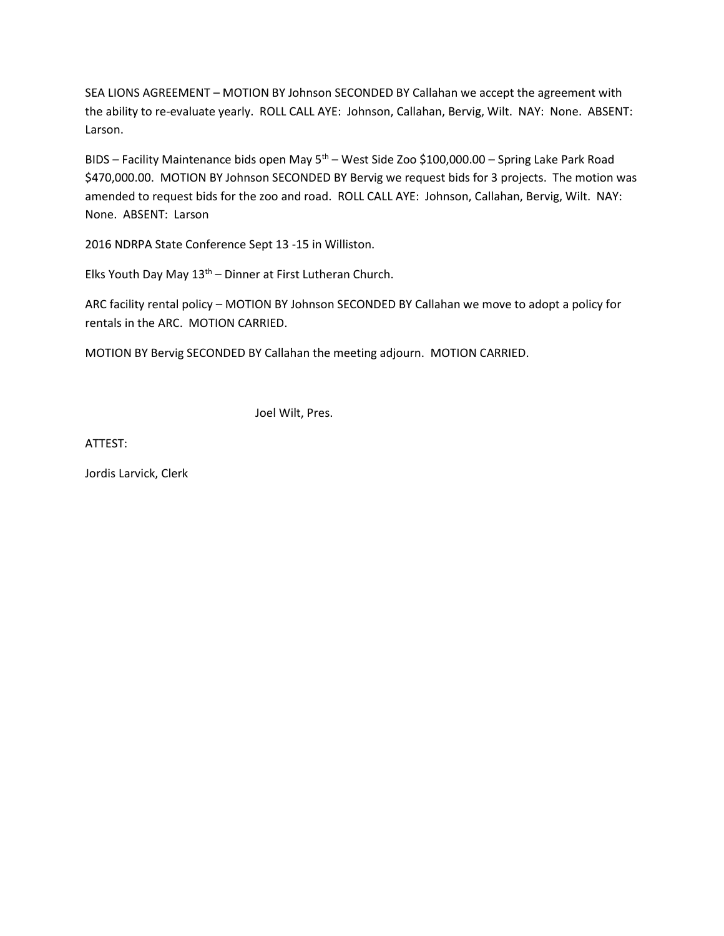SEA LIONS AGREEMENT – MOTION BY Johnson SECONDED BY Callahan we accept the agreement with the ability to re-evaluate yearly. ROLL CALL AYE: Johnson, Callahan, Bervig, Wilt. NAY: None. ABSENT: Larson.

BIDS – Facility Maintenance bids open May  $5<sup>th</sup>$  – West Side Zoo \$100,000.00 – Spring Lake Park Road \$470,000.00. MOTION BY Johnson SECONDED BY Bervig we request bids for 3 projects. The motion was amended to request bids for the zoo and road. ROLL CALL AYE: Johnson, Callahan, Bervig, Wilt. NAY: None. ABSENT: Larson

2016 NDRPA State Conference Sept 13 -15 in Williston.

Elks Youth Day May  $13<sup>th</sup>$  – Dinner at First Lutheran Church.

ARC facility rental policy – MOTION BY Johnson SECONDED BY Callahan we move to adopt a policy for rentals in the ARC. MOTION CARRIED.

MOTION BY Bervig SECONDED BY Callahan the meeting adjourn. MOTION CARRIED.

Joel Wilt, Pres.

ATTEST: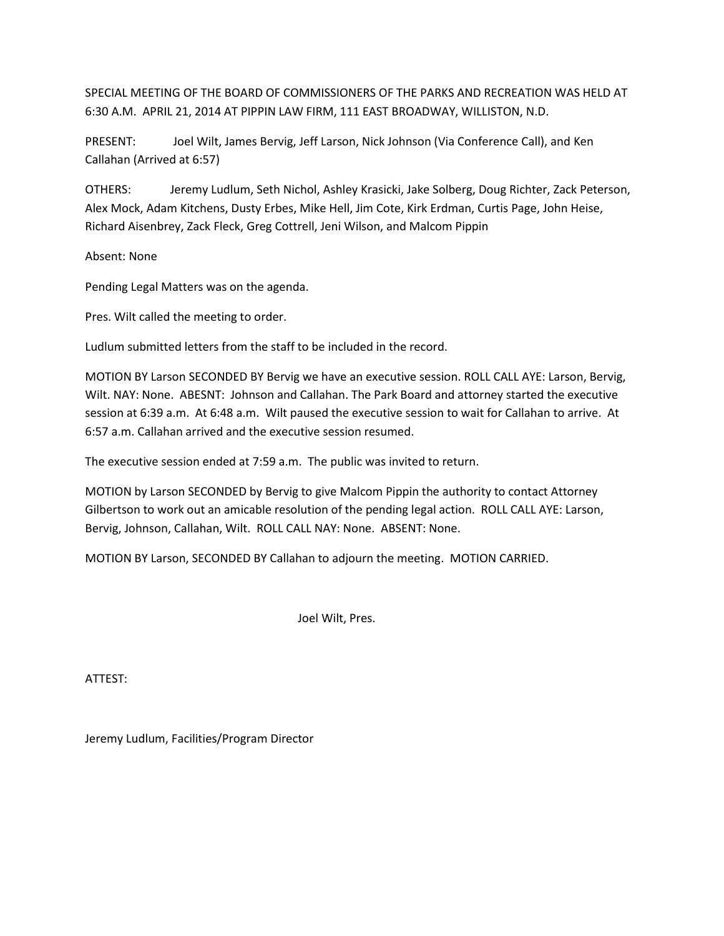SPECIAL MEETING OF THE BOARD OF COMMISSIONERS OF THE PARKS AND RECREATION WAS HELD AT 6:30 A.M. APRIL 21, 2014 AT PIPPIN LAW FIRM, 111 EAST BROADWAY, WILLISTON, N.D.

PRESENT: Joel Wilt, James Bervig, Jeff Larson, Nick Johnson (Via Conference Call), and Ken Callahan (Arrived at 6:57)

OTHERS: Jeremy Ludlum, Seth Nichol, Ashley Krasicki, Jake Solberg, Doug Richter, Zack Peterson, Alex Mock, Adam Kitchens, Dusty Erbes, Mike Hell, Jim Cote, Kirk Erdman, Curtis Page, John Heise, Richard Aisenbrey, Zack Fleck, Greg Cottrell, Jeni Wilson, and Malcom Pippin

Absent: None

Pending Legal Matters was on the agenda.

Pres. Wilt called the meeting to order.

Ludlum submitted letters from the staff to be included in the record.

MOTION BY Larson SECONDED BY Bervig we have an executive session. ROLL CALL AYE: Larson, Bervig, Wilt. NAY: None. ABESNT: Johnson and Callahan. The Park Board and attorney started the executive session at 6:39 a.m. At 6:48 a.m. Wilt paused the executive session to wait for Callahan to arrive. At 6:57 a.m. Callahan arrived and the executive session resumed.

The executive session ended at 7:59 a.m. The public was invited to return.

MOTION by Larson SECONDED by Bervig to give Malcom Pippin the authority to contact Attorney Gilbertson to work out an amicable resolution of the pending legal action. ROLL CALL AYE: Larson, Bervig, Johnson, Callahan, Wilt. ROLL CALL NAY: None. ABSENT: None.

MOTION BY Larson, SECONDED BY Callahan to adjourn the meeting. MOTION CARRIED.

Joel Wilt, Pres.

ATTEST:

Jeremy Ludlum, Facilities/Program Director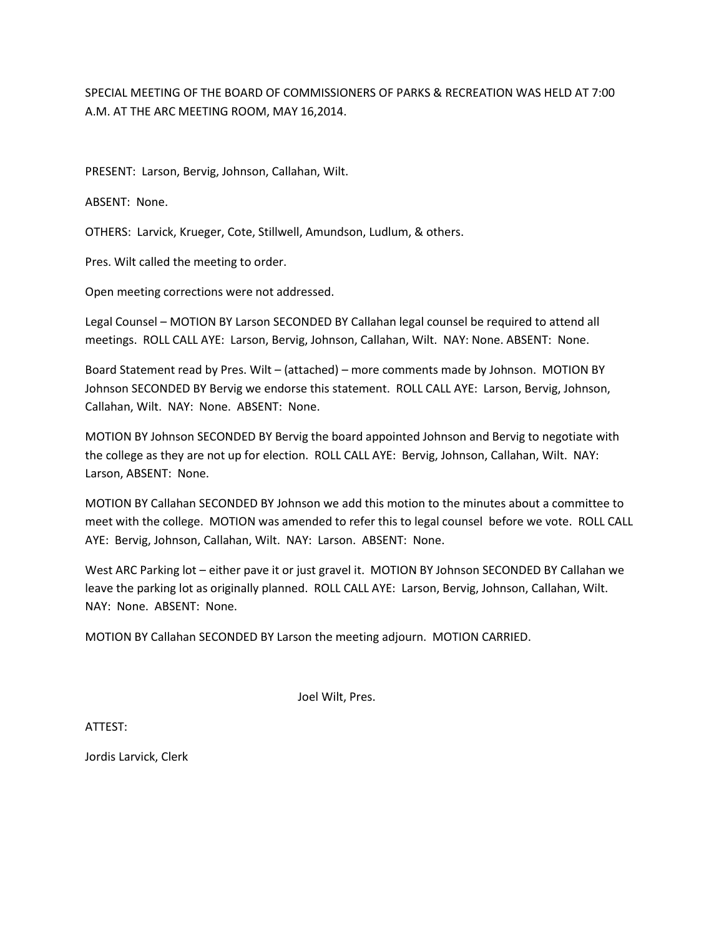SPECIAL MEETING OF THE BOARD OF COMMISSIONERS OF PARKS & RECREATION WAS HELD AT 7:00 A.M. AT THE ARC MEETING ROOM, MAY 16,2014.

PRESENT: Larson, Bervig, Johnson, Callahan, Wilt.

ABSENT: None.

OTHERS: Larvick, Krueger, Cote, Stillwell, Amundson, Ludlum, & others.

Pres. Wilt called the meeting to order.

Open meeting corrections were not addressed.

Legal Counsel – MOTION BY Larson SECONDED BY Callahan legal counsel be required to attend all meetings. ROLL CALL AYE: Larson, Bervig, Johnson, Callahan, Wilt. NAY: None. ABSENT: None.

Board Statement read by Pres. Wilt – (attached) – more comments made by Johnson. MOTION BY Johnson SECONDED BY Bervig we endorse this statement. ROLL CALL AYE: Larson, Bervig, Johnson, Callahan, Wilt. NAY: None. ABSENT: None.

MOTION BY Johnson SECONDED BY Bervig the board appointed Johnson and Bervig to negotiate with the college as they are not up for election. ROLL CALL AYE: Bervig, Johnson, Callahan, Wilt. NAY: Larson, ABSENT: None.

MOTION BY Callahan SECONDED BY Johnson we add this motion to the minutes about a committee to meet with the college. MOTION was amended to refer this to legal counsel before we vote. ROLL CALL AYE: Bervig, Johnson, Callahan, Wilt. NAY: Larson. ABSENT: None.

West ARC Parking lot – either pave it or just gravel it. MOTION BY Johnson SECONDED BY Callahan we leave the parking lot as originally planned. ROLL CALL AYE: Larson, Bervig, Johnson, Callahan, Wilt. NAY: None. ABSENT: None.

MOTION BY Callahan SECONDED BY Larson the meeting adjourn. MOTION CARRIED.

Joel Wilt, Pres.

ATTEST: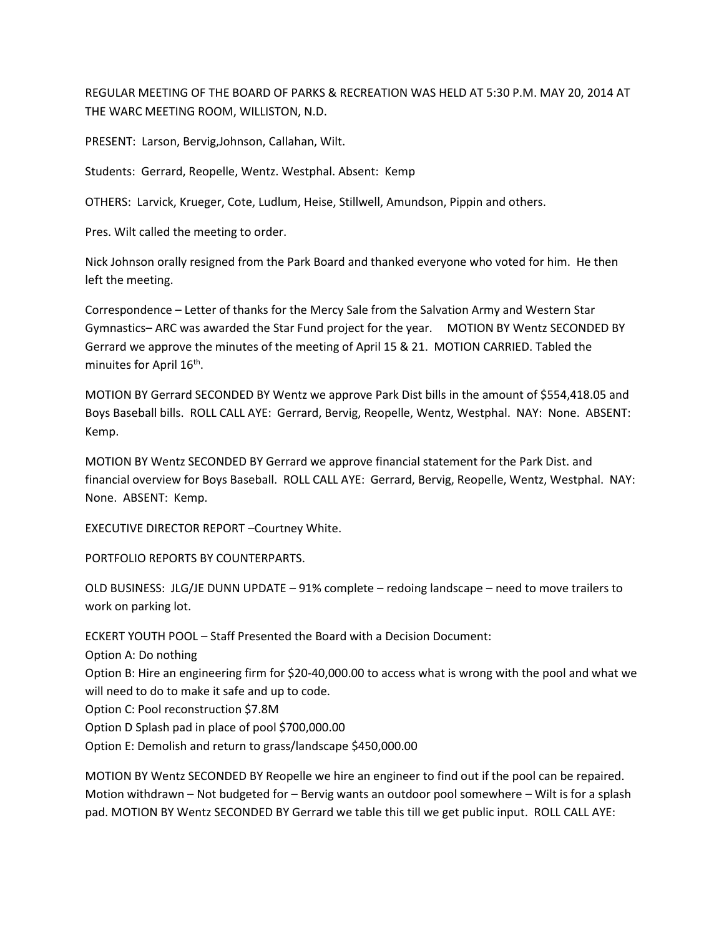REGULAR MEETING OF THE BOARD OF PARKS & RECREATION WAS HELD AT 5:30 P.M. MAY 20, 2014 AT THE WARC MEETING ROOM, WILLISTON, N.D.

PRESENT: Larson, Bervig,Johnson, Callahan, Wilt.

Students: Gerrard, Reopelle, Wentz. Westphal. Absent: Kemp

OTHERS: Larvick, Krueger, Cote, Ludlum, Heise, Stillwell, Amundson, Pippin and others.

Pres. Wilt called the meeting to order.

Nick Johnson orally resigned from the Park Board and thanked everyone who voted for him. He then left the meeting.

Correspondence – Letter of thanks for the Mercy Sale from the Salvation Army and Western Star Gymnastics– ARC was awarded the Star Fund project for the year. MOTION BY Wentz SECONDED BY Gerrard we approve the minutes of the meeting of April 15 & 21. MOTION CARRIED. Tabled the minuites for April 16<sup>th</sup>.

MOTION BY Gerrard SECONDED BY Wentz we approve Park Dist bills in the amount of \$554,418.05 and Boys Baseball bills. ROLL CALL AYE: Gerrard, Bervig, Reopelle, Wentz, Westphal. NAY: None. ABSENT: Kemp.

MOTION BY Wentz SECONDED BY Gerrard we approve financial statement for the Park Dist. and financial overview for Boys Baseball. ROLL CALL AYE: Gerrard, Bervig, Reopelle, Wentz, Westphal. NAY: None. ABSENT: Kemp.

EXECUTIVE DIRECTOR REPORT –Courtney White.

PORTFOLIO REPORTS BY COUNTERPARTS.

OLD BUSINESS: JLG/JE DUNN UPDATE – 91% complete – redoing landscape – need to move trailers to work on parking lot.

ECKERT YOUTH POOL – Staff Presented the Board with a Decision Document: Option A: Do nothing Option B: Hire an engineering firm for \$20-40,000.00 to access what is wrong with the pool and what we will need to do to make it safe and up to code. Option C: Pool reconstruction \$7.8M Option D Splash pad in place of pool \$700,000.00 Option E: Demolish and return to grass/landscape \$450,000.00

MOTION BY Wentz SECONDED BY Reopelle we hire an engineer to find out if the pool can be repaired. Motion withdrawn – Not budgeted for – Bervig wants an outdoor pool somewhere – Wilt is for a splash pad. MOTION BY Wentz SECONDED BY Gerrard we table this till we get public input. ROLL CALL AYE: